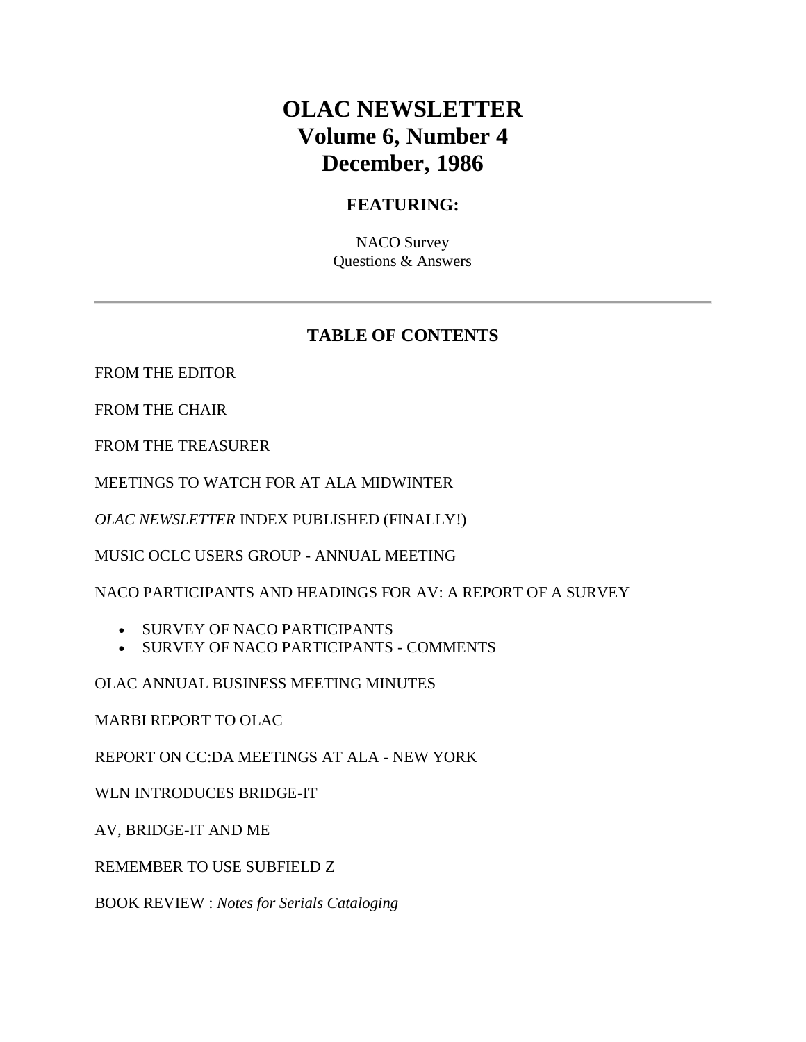# **OLAC NEWSLETTER Volume 6, Number 4 December, 1986**

### **FEATURING:**

NACO Survey Questions & Answers

### **TABLE OF CONTENTS**

[FROM THE EDITOR](http://ublib.buffalo.edu/libraries/units/cts/olac/newsletters/dec86.html#editor)

[FROM THE CHAIR](http://ublib.buffalo.edu/libraries/units/cts/olac/newsletters/dec86.html#chair)

[FROM THE TREASURER](http://ublib.buffalo.edu/libraries/units/cts/olac/newsletters/dec86.html#treasurer)

[MEETINGS TO WATCH FOR AT ALA MIDWINTER](http://ublib.buffalo.edu/libraries/units/cts/olac/newsletters/dec86.html#meetings)

*OLAC NEWSLETTER* [INDEX PUBLISHED \(FINALLY!\)](http://ublib.buffalo.edu/libraries/units/cts/olac/newsletters/dec86.html#index)

[MUSIC OCLC USERS GROUP -](http://ublib.buffalo.edu/libraries/units/cts/olac/newsletters/dec86.html#moug) ANNUAL MEETING

[NACO PARTICIPANTS AND HEADINGS FOR AV: A REPORT OF A SURVEY](http://ublib.buffalo.edu/libraries/units/cts/olac/newsletters/dec86.html#naco)

- [SURVEY OF NACO PARTICIPANTS](http://ublib.buffalo.edu/libraries/units/cts/olac/newsletters/dec86.html#survey)
- [SURVEY OF NACO PARTICIPANTS -](http://ublib.buffalo.edu/libraries/units/cts/olac/newsletters/dec86.html#comments) COMMENTS

[OLAC ANNUAL BUSINESS MEETING MINUTES](http://ublib.buffalo.edu/libraries/units/cts/olac/newsletters/dec86.html#business)

[MARBI REPORT TO OLAC](http://ublib.buffalo.edu/libraries/units/cts/olac/newsletters/dec86.html#marbi)

[REPORT ON CC:DA MEETINGS AT ALA -](http://ublib.buffalo.edu/libraries/units/cts/olac/newsletters/dec86.html#ccda) NEW YORK

[WLN INTRODUCES BRIDGE-IT](http://ublib.buffalo.edu/libraries/units/cts/olac/newsletters/dec86.html#wln)

[AV, BRIDGE-IT AND ME](http://ublib.buffalo.edu/libraries/units/cts/olac/newsletters/dec86.html#av)

[REMEMBER TO USE SUBFIELD Z](http://ublib.buffalo.edu/libraries/units/cts/olac/newsletters/dec86.html#remember)

BOOK REVIEW : *[Notes for Serials Cataloging](http://ublib.buffalo.edu/libraries/units/cts/olac/newsletters/dec86.html#review)*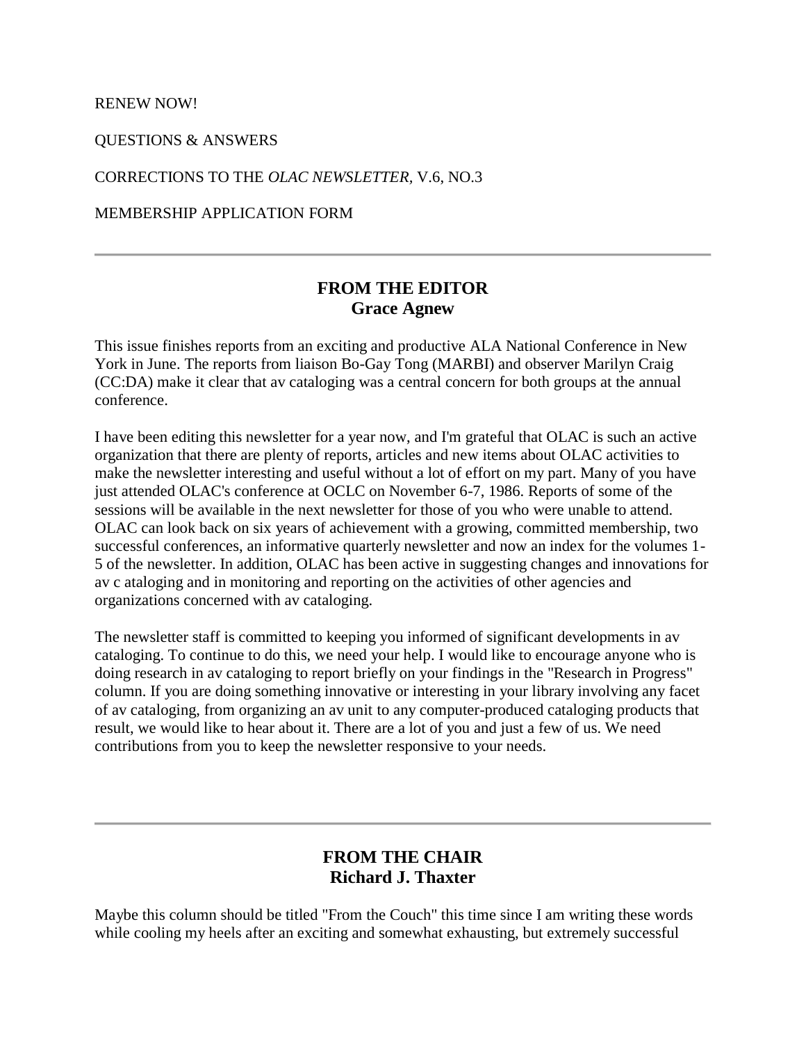[RENEW NOW!](http://ublib.buffalo.edu/libraries/units/cts/olac/newsletters/dec86.html#renew)

[QUESTIONS & ANSWERS](http://ublib.buffalo.edu/libraries/units/cts/olac/newsletters/dec86.html#q&a)

[CORRECTIONS TO THE](http://ublib.buffalo.edu/libraries/units/cts/olac/newsletters/dec86.html#corrections) *OLAC NEWSLETTER,* V.6, NO.3

[MEMBERSHIP APPLICATION FORM](http://ublib.buffalo.edu/libraries/units/cts/olac/newsletters/dec86.html#form)

### **FROM THE EDITOR Grace Agnew**

This issue finishes reports from an exciting and productive ALA National Conference in New York in June. The reports from liaison Bo-Gay Tong (MARBI) and observer Marilyn Craig (CC:DA) make it clear that av cataloging was a central concern for both groups at the annual conference.

I have been editing this newsletter for a year now, and I'm grateful that OLAC is such an active organization that there are plenty of reports, articles and new items about OLAC activities to make the newsletter interesting and useful without a lot of effort on my part. Many of you have just attended OLAC's conference at OCLC on November 6-7, 1986. Reports of some of the sessions will be available in the next newsletter for those of you who were unable to attend. OLAC can look back on six years of achievement with a growing, committed membership, two successful conferences, an informative quarterly newsletter and now an index for the volumes 1- 5 of the newsletter. In addition, OLAC has been active in suggesting changes and innovations for av c ataloging and in monitoring and reporting on the activities of other agencies and organizations concerned with av cataloging.

The newsletter staff is committed to keeping you informed of significant developments in av cataloging. To continue to do this, we need your help. I would like to encourage anyone who is doing research in av cataloging to report briefly on your findings in the "Research in Progress" column. If you are doing something innovative or interesting in your library involving any facet of av cataloging, from organizing an av unit to any computer-produced cataloging products that result, we would like to hear about it. There are a lot of you and just a few of us. We need contributions from you to keep the newsletter responsive to your needs.

### **FROM THE CHAIR Richard J. Thaxter**

Maybe this column should be titled "From the Couch" this time since I am writing these words while cooling my heels after an exciting and somewhat exhausting, but extremely successful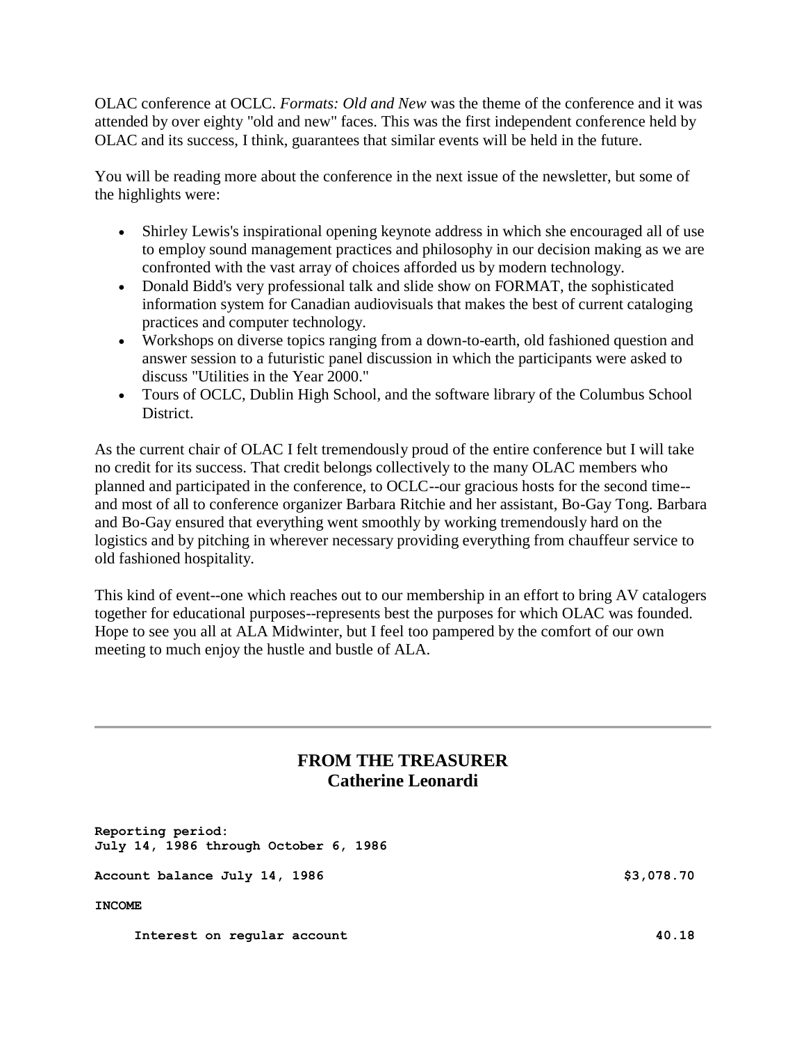OLAC conference at OCLC. *Formats: Old and New* was the theme of the conference and it was attended by over eighty "old and new" faces. This was the first independent conference held by OLAC and its success, I think, guarantees that similar events will be held in the future.

You will be reading more about the conference in the next issue of the newsletter, but some of the highlights were:

- Shirley Lewis's inspirational opening keynote address in which she encouraged all of use to employ sound management practices and philosophy in our decision making as we are confronted with the vast array of choices afforded us by modern technology.
- Donald Bidd's very professional talk and slide show on FORMAT, the sophisticated information system for Canadian audiovisuals that makes the best of current cataloging practices and computer technology.
- Workshops on diverse topics ranging from a down-to-earth, old fashioned question and answer session to a futuristic panel discussion in which the participants were asked to discuss "Utilities in the Year 2000."
- Tours of OCLC, Dublin High School, and the software library of the Columbus School District.

As the current chair of OLAC I felt tremendously proud of the entire conference but I will take no credit for its success. That credit belongs collectively to the many OLAC members who planned and participated in the conference, to OCLC--our gracious hosts for the second time- and most of all to conference organizer Barbara Ritchie and her assistant, Bo-Gay Tong. Barbara and Bo-Gay ensured that everything went smoothly by working tremendously hard on the logistics and by pitching in wherever necessary providing everything from chauffeur service to old fashioned hospitality.

This kind of event--one which reaches out to our membership in an effort to bring AV catalogers together for educational purposes--represents best the purposes for which OLAC was founded. Hope to see you all at ALA Midwinter, but I feel too pampered by the comfort of our own meeting to much enjoy the hustle and bustle of ALA.

### **FROM THE TREASURER Catherine Leonardi**

**Reporting period: July 14, 1986 through October 6, 1986**

**Account balance July 14, 1986 \$3,078.70** 

**INCOME**

Interest on regular account **40.18**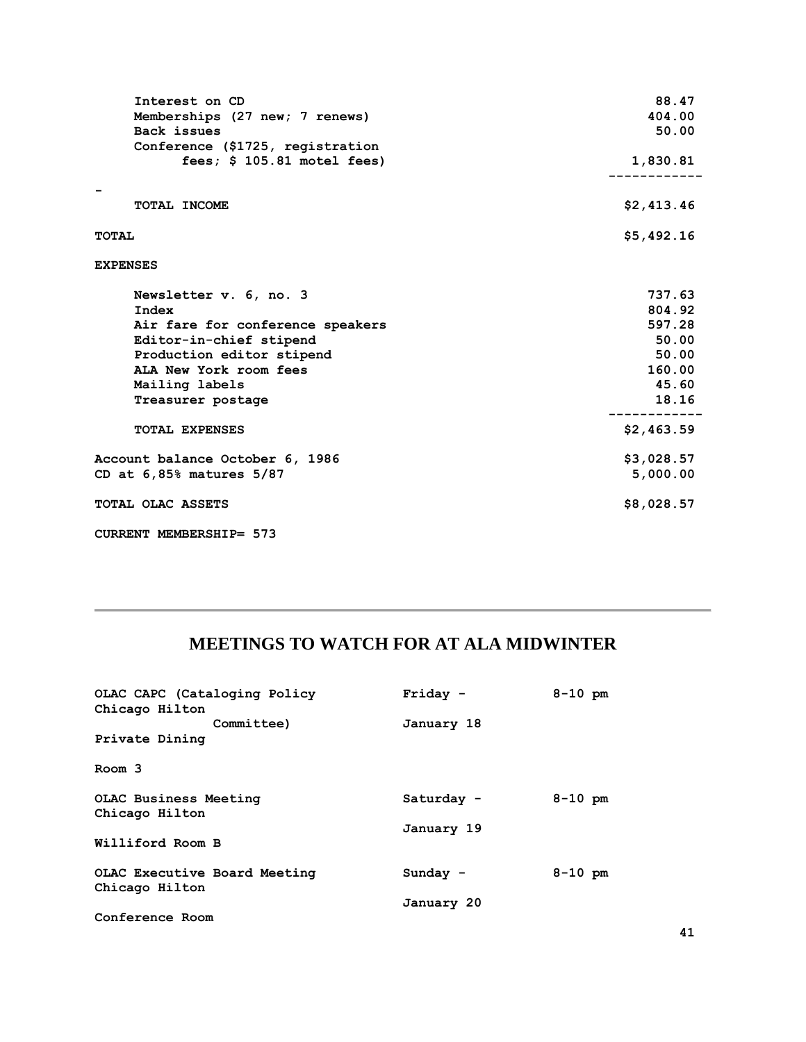| Interest on CD<br>Memberships (27 new; 7 renews)<br>Back issues<br>Conference (\$1725, registration | 88.47<br>404.00<br>50.00 |
|-----------------------------------------------------------------------------------------------------|--------------------------|
| fees; $$105.81$ motel fees)                                                                         | 1,830.81                 |
|                                                                                                     |                          |
| TOTAL INCOME                                                                                        | \$2,413.46               |
| <b>TOTAL</b>                                                                                        | \$5,492.16               |
| <b>EXPENSES</b>                                                                                     |                          |
| Newsletter v. 6, no. 3                                                                              | 737.63                   |
| Index                                                                                               | 804.92                   |
| Air fare for conference speakers                                                                    | 597.28                   |
| Editor-in-chief stipend                                                                             | 50.00                    |
| Production editor stipend                                                                           | 50.00                    |
| ALA New York room fees                                                                              | 160.00                   |
| Mailing labels                                                                                      | 45.60                    |
| Treasurer postage                                                                                   | 18.16                    |
| <b>TOTAL EXPENSES</b>                                                                               | \$2,463.59               |
| Account balance October 6, 1986                                                                     | \$3,028.57               |
| CD at $6,85\frac{8}{3}$ matures $5/87$                                                              | 5,000.00                 |
| TOTAL OLAC ASSETS                                                                                   | \$8,028.57               |
| CURRENT MEMBERSHIP= 573                                                                             |                          |

# **MEETINGS TO WATCH FOR AT ALA MIDWINTER**

| OLAC CAPC (Cataloging Policy | Friday -   | $8 - 10$ pm |
|------------------------------|------------|-------------|
| Chicago Hilton               |            |             |
| Committee)                   | January 18 |             |
| Private Dining               |            |             |
| Room 3                       |            |             |
| <b>OLAC Business Meeting</b> | Saturday - | $8 - 10$ pm |
| Chicago Hilton               |            |             |
|                              | January 19 |             |
| Williford Room B             |            |             |
| OLAC Executive Board Meeting | Sunday -   | $8 - 10$ pm |
| Chicago Hilton               |            |             |
|                              | January 20 |             |
| Conference Room              |            |             |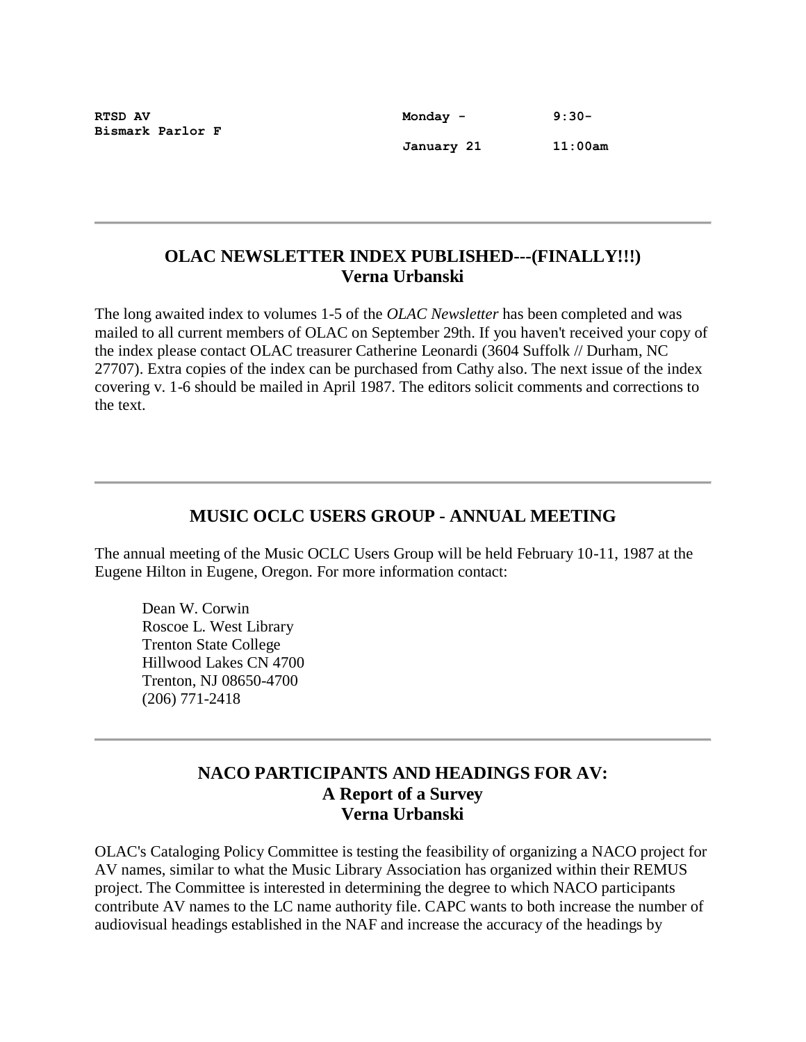**Bismark Parlor F**

**RTSD AV 8:30-8:20 Monday - 9:30- January 21 11:00am**

#### **OLAC NEWSLETTER INDEX PUBLISHED---(FINALLY!!!) Verna Urbanski**

The long awaited index to volumes 1-5 of the *OLAC Newsletter* has been completed and was mailed to all current members of OLAC on September 29th. If you haven't received your copy of the index please contact OLAC treasurer Catherine Leonardi (3604 Suffolk // Durham, NC 27707). Extra copies of the index can be purchased from Cathy also. The next issue of the index covering v. 1-6 should be mailed in April 1987. The editors solicit comments and corrections to the text.

# **MUSIC OCLC USERS GROUP - ANNUAL MEETING**

The annual meeting of the Music OCLC Users Group will be held February 10-11, 1987 at the Eugene Hilton in Eugene, Oregon. For more information contact:

Dean W. Corwin Roscoe L. West Library Trenton State College Hillwood Lakes CN 4700 Trenton, NJ 08650-4700 (206) 771-2418

#### **NACO PARTICIPANTS AND HEADINGS FOR AV: A Report of a Survey Verna Urbanski**

OLAC's Cataloging Policy Committee is testing the feasibility of organizing a NACO project for AV names, similar to what the Music Library Association has organized within their REMUS project. The Committee is interested in determining the degree to which NACO participants contribute AV names to the LC name authority file. CAPC wants to both increase the number of audiovisual headings established in the NAF and increase the accuracy of the headings by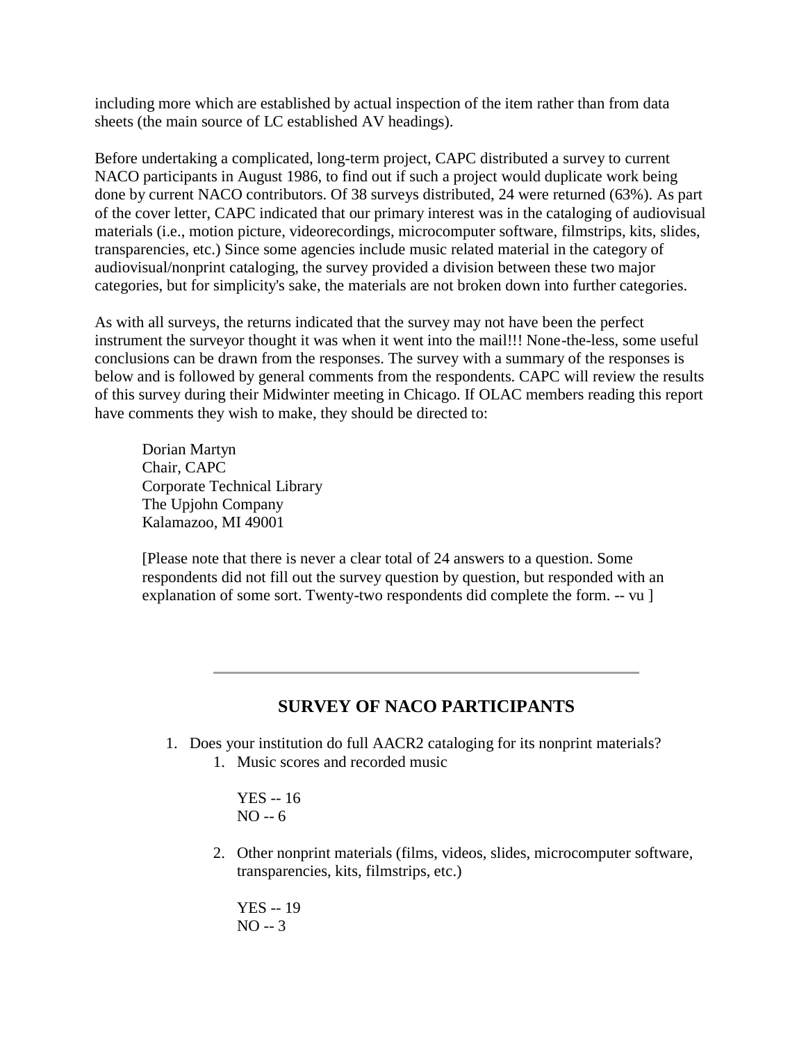including more which are established by actual inspection of the item rather than from data sheets (the main source of LC established AV headings).

Before undertaking a complicated, long-term project, CAPC distributed a survey to current NACO participants in August 1986, to find out if such a project would duplicate work being done by current NACO contributors. Of 38 surveys distributed, 24 were returned (63%). As part of the cover letter, CAPC indicated that our primary interest was in the cataloging of audiovisual materials (i.e., motion picture, videorecordings, microcomputer software, filmstrips, kits, slides, transparencies, etc.) Since some agencies include music related material in the category of audiovisual/nonprint cataloging, the survey provided a division between these two major categories, but for simplicity's sake, the materials are not broken down into further categories.

As with all surveys, the returns indicated that the survey may not have been the perfect instrument the surveyor thought it was when it went into the mail!!! None-the-less, some useful conclusions can be drawn from the responses. The survey with a summary of the responses is below and is followed by general comments from the respondents. CAPC will review the results of this survey during their Midwinter meeting in Chicago. If OLAC members reading this report have comments they wish to make, they should be directed to:

Dorian Martyn Chair, CAPC Corporate Technical Library The Upjohn Company Kalamazoo, MI 49001

[Please note that there is never a clear total of 24 answers to a question. Some respondents did not fill out the survey question by question, but responded with an explanation of some sort. Twenty-two respondents did complete the form. -- vu ]

#### **SURVEY OF NACO PARTICIPANTS**

- 1. Does your institution do full AACR2 cataloging for its nonprint materials?
	- 1. Music scores and recorded music

YES -- 16 NO -- 6

2. Other nonprint materials (films, videos, slides, microcomputer software, transparencies, kits, filmstrips, etc.)

YES -- 19 NO -- 3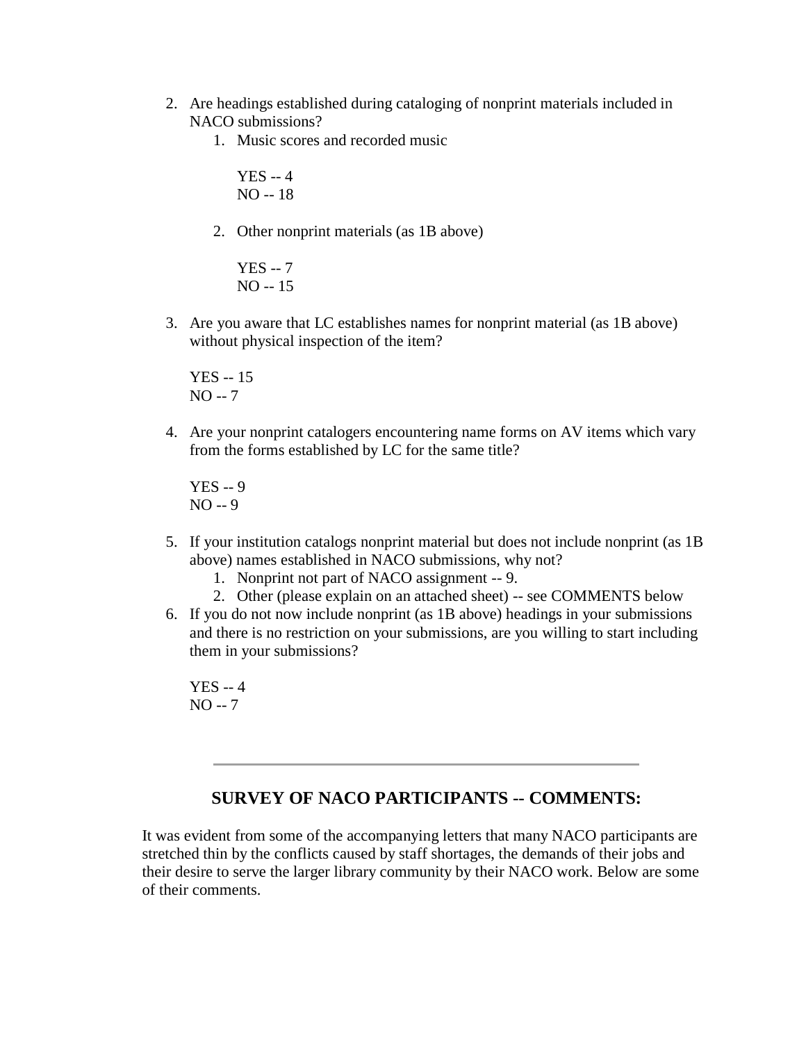- 2. Are headings established during cataloging of nonprint materials included in NACO submissions?
	- 1. Music scores and recorded music

```
YES -- 4
NO -- 18
```
2. Other nonprint materials (as 1B above)

YES -- 7 NO -- 15

3. Are you aware that LC establishes names for nonprint material (as 1B above) without physical inspection of the item?

YES -- 15 NO -- 7

4. Are your nonprint catalogers encountering name forms on AV items which vary from the forms established by LC for the same title?

YES -- 9 NO -- 9

- 5. If your institution catalogs nonprint material but does not include nonprint (as 1B above) names established in NACO submissions, why not?
	- 1. Nonprint not part of NACO assignment -- 9.
	- 2. Other (please explain on an attached sheet) -- see [COMMENTS](http://ublib.buffalo.edu/libraries/units/cts/olac/newsletters/dec86.html#comments) below
- 6. If you do not now include nonprint (as 1B above) headings in your submissions and there is no restriction on your submissions, are you willing to start including them in your submissions?

YES -- 4 NO -- 7

#### **SURVEY OF NACO PARTICIPANTS -- COMMENTS:**

It was evident from some of the accompanying letters that many NACO participants are stretched thin by the conflicts caused by staff shortages, the demands of their jobs and their desire to serve the larger library community by their NACO work. Below are some of their comments.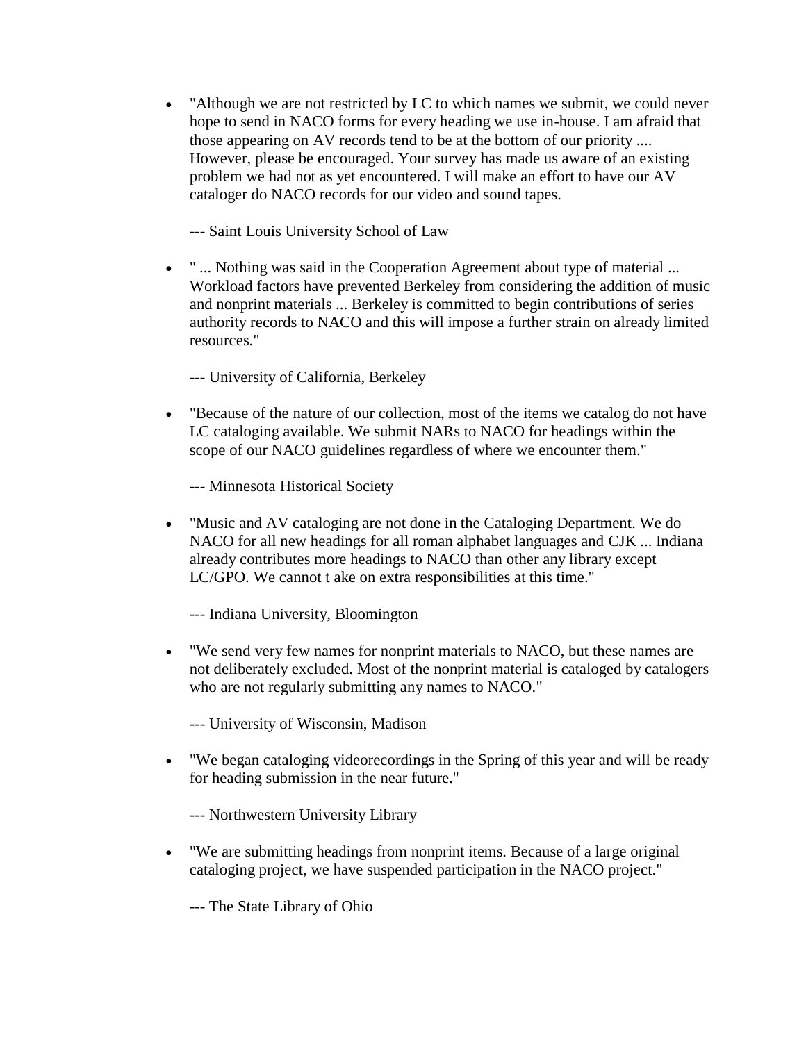"Although we are not restricted by LC to which names we submit, we could never hope to send in NACO forms for every heading we use in-house. I am afraid that those appearing on AV records tend to be at the bottom of our priority .... However, please be encouraged. Your survey has made us aware of an existing problem we had not as yet encountered. I will make an effort to have our AV cataloger do NACO records for our video and sound tapes.

--- Saint Louis University School of Law

 " ... Nothing was said in the Cooperation Agreement about type of material ... Workload factors have prevented Berkeley from considering the addition of music and nonprint materials ... Berkeley is committed to begin contributions of series authority records to NACO and this will impose a further strain on already limited resources."

--- University of California, Berkeley

 "Because of the nature of our collection, most of the items we catalog do not have LC cataloging available. We submit NARs to NACO for headings within the scope of our NACO guidelines regardless of where we encounter them."

--- Minnesota Historical Society

 "Music and AV cataloging are not done in the Cataloging Department. We do NACO for all new headings for all roman alphabet languages and CJK ... Indiana already contributes more headings to NACO than other any library except LC/GPO. We cannot t ake on extra responsibilities at this time."

--- Indiana University, Bloomington

 "We send very few names for nonprint materials to NACO, but these names are not deliberately excluded. Most of the nonprint material is cataloged by catalogers who are not regularly submitting any names to NACO."

--- University of Wisconsin, Madison

 "We began cataloging videorecordings in the Spring of this year and will be ready for heading submission in the near future."

--- Northwestern University Library

 "We are submitting headings from nonprint items. Because of a large original cataloging project, we have suspended participation in the NACO project."

--- The State Library of Ohio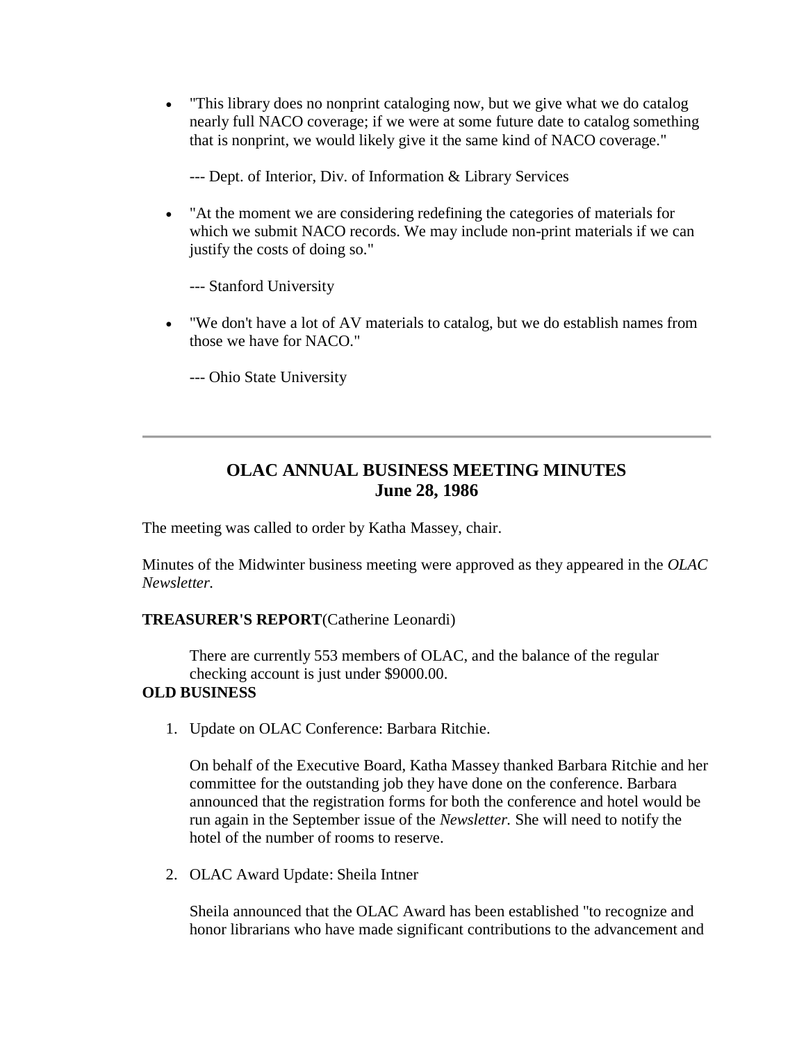"This library does no nonprint cataloging now, but we give what we do catalog nearly full NACO coverage; if we were at some future date to catalog something that is nonprint, we would likely give it the same kind of NACO coverage."

--- Dept. of Interior, Div. of Information & Library Services

 "At the moment we are considering redefining the categories of materials for which we submit NACO records. We may include non-print materials if we can justify the costs of doing so."

--- Stanford University

 "We don't have a lot of AV materials to catalog, but we do establish names from those we have for NACO."

--- Ohio State University

## **OLAC ANNUAL BUSINESS MEETING MINUTES June 28, 1986**

The meeting was called to order by Katha Massey, chair.

[Minutes of the Midwinter business meeting](http://ublib.buffalo.edu/libraries/units/cts/olac/newsletters/mar86.html#business) were approved as they appeared in the *OLAC Newsletter.*

#### **TREASURER'S REPORT**(Catherine Leonardi)

There are currently 553 members of OLAC, and the balance of the regular checking account is just under \$9000.00.

#### **OLD BUSINESS**

1. Update on OLAC Conference: Barbara Ritchie.

On behalf of the Executive Board, Katha Massey thanked Barbara Ritchie and her committee for the outstanding job they have done on the conference. Barbara announced that the registration forms for both the conference and hotel would be run again in the September issue of the *Newsletter.* She will need to notify the hotel of the number of rooms to reserve.

2. OLAC Award Update: Sheila Intner

Sheila announced that the OLAC Award has been established "to recognize and honor librarians who have made significant contributions to the advancement and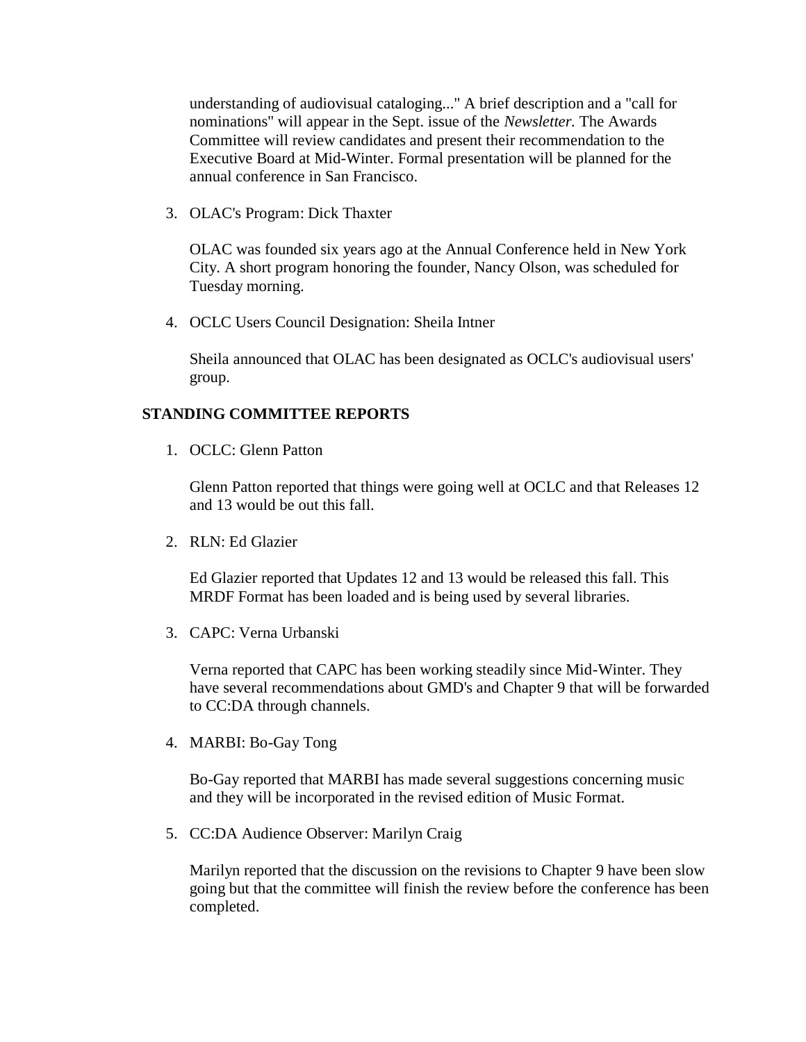understanding of audiovisual cataloging..." A brief description and a "call for nominations" will appear in the Sept. issue of the *Newsletter.* The Awards Committee will review candidates and present their recommendation to the Executive Board at Mid-Winter. Formal presentation will be planned for the annual conference in San Francisco.

3. OLAC's Program: Dick Thaxter

OLAC was founded six years ago at the Annual Conference held in New York City. A short program honoring the founder, Nancy Olson, was scheduled for Tuesday morning.

4. OCLC Users Council Designation: Sheila Intner

Sheila announced that OLAC has been designated as OCLC's audiovisual users' group.

#### **STANDING COMMITTEE REPORTS**

1. OCLC: Glenn Patton

Glenn Patton reported that things were going well at OCLC and that Releases 12 and 13 would be out this fall.

2. RLN: Ed Glazier

Ed Glazier reported that Updates 12 and 13 would be released this fall. This MRDF Format has been loaded and is being used by several libraries.

3. CAPC: Verna Urbanski

Verna reported that CAPC has been working steadily since Mid-Winter. They have several recommendations about GMD's and Chapter 9 that will be forwarded to CC:DA through channels.

4. MARBI: Bo-Gay Tong

Bo-Gay reported that MARBI has made several suggestions concerning music and they will be incorporated in the revised edition of Music Format.

5. CC:DA Audience Observer: Marilyn Craig

Marilyn reported that the discussion on the revisions to Chapter 9 have been slow going but that the committee will finish the review before the conference has been completed.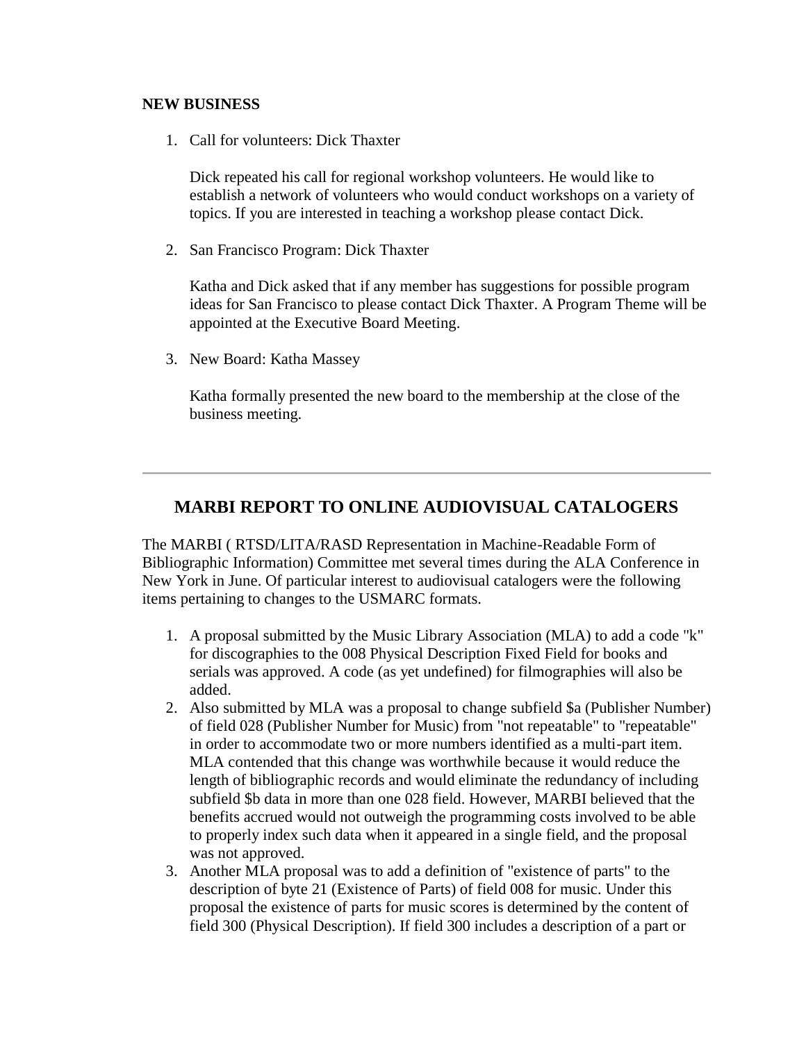#### **NEW BUSINESS**

1. Call for volunteers: Dick Thaxter

Dick repeated his call for regional workshop volunteers. He would like to establish a network of volunteers who would conduct workshops on a variety of topics. If you are interested in teaching a workshop please contact Dick.

2. San Francisco Program: Dick Thaxter

Katha and Dick asked that if any member has suggestions for possible program ideas for San Francisco to please contact Dick Thaxter. A Program Theme will be appointed at the Executive Board Meeting.

3. New Board: Katha Massey

Katha formally presented the new board to the membership at the close of the business meeting.

### **MARBI REPORT TO ONLINE AUDIOVISUAL CATALOGERS**

The MARBI ( RTSD/LITA/RASD Representation in Machine-Readable Form of Bibliographic Information) Committee met several times during the ALA Conference in New York in June. Of particular interest to audiovisual catalogers were the following items pertaining to changes to the USMARC formats.

- 1. A proposal submitted by the Music Library Association (MLA) to add a code "k" for discographies to the 008 Physical Description Fixed Field for books and serials was approved. A code (as yet undefined) for filmographies will also be added.
- 2. Also submitted by MLA was a proposal to change subfield \$a (Publisher Number) of field 028 (Publisher Number for Music) from "not repeatable" to "repeatable" in order to accommodate two or more numbers identified as a multi-part item. MLA contended that this change was worthwhile because it would reduce the length of bibliographic records and would eliminate the redundancy of including subfield \$b data in more than one 028 field. However, MARBI believed that the benefits accrued would not outweigh the programming costs involved to be able to properly index such data when it appeared in a single field, and the proposal was not approved.
- 3. Another MLA proposal was to add a definition of "existence of parts" to the description of byte 21 (Existence of Parts) of field 008 for music. Under this proposal the existence of parts for music scores is determined by the content of field 300 (Physical Description). If field 300 includes a description of a part or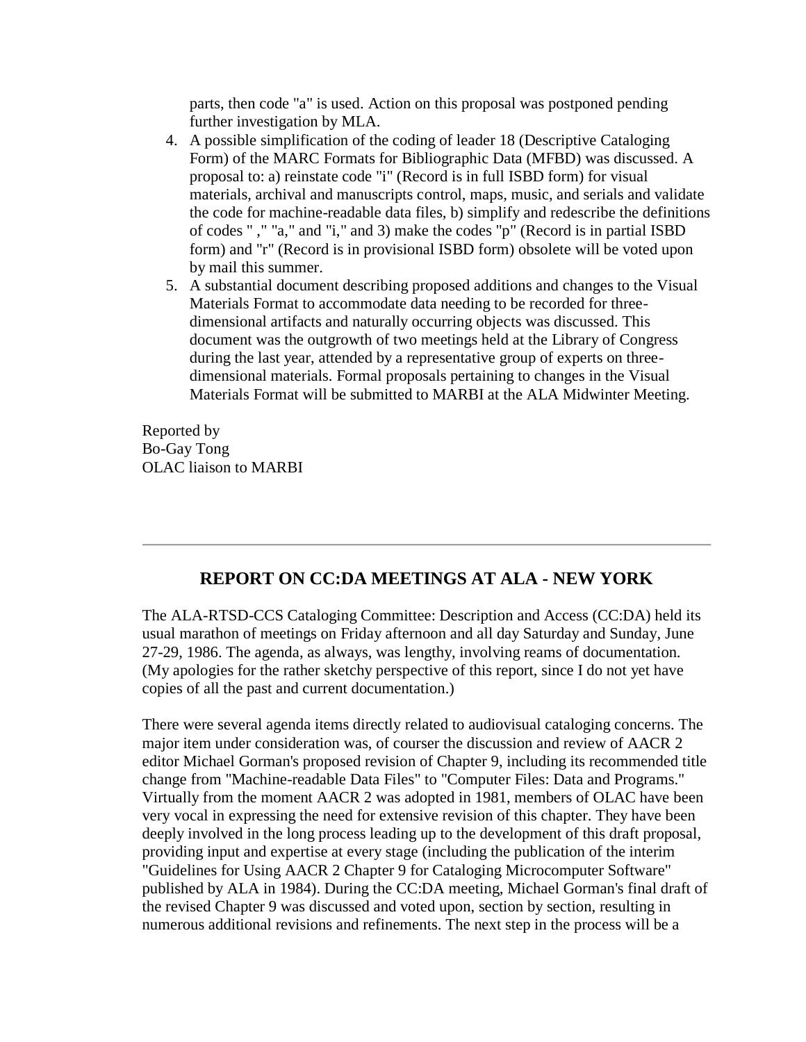parts, then code "a" is used. Action on this proposal was postponed pending further investigation by MLA.

- 4. A possible simplification of the coding of leader 18 (Descriptive Cataloging Form) of the MARC Formats for Bibliographic Data (MFBD) was discussed. A proposal to: a) reinstate code "i" (Record is in full ISBD form) for visual materials, archival and manuscripts control, maps, music, and serials and validate the code for machine-readable data files, b) simplify and redescribe the definitions of codes " ," "a," and "i," and 3) make the codes "p" (Record is in partial ISBD form) and "r" (Record is in provisional ISBD form) obsolete will be voted upon by mail this summer.
- 5. A substantial document describing proposed additions and changes to the Visual Materials Format to accommodate data needing to be recorded for threedimensional artifacts and naturally occurring objects was discussed. This document was the outgrowth of two meetings held at the Library of Congress during the last year, attended by a representative group of experts on threedimensional materials. Formal proposals pertaining to changes in the Visual Materials Format will be submitted to MARBI at the ALA Midwinter Meeting.

Reported by Bo-Gay Tong OLAC liaison to MARBI

### **REPORT ON CC:DA MEETINGS AT ALA - NEW YORK**

The ALA-RTSD-CCS Cataloging Committee: Description and Access (CC:DA) held its usual marathon of meetings on Friday afternoon and all day Saturday and Sunday, June 27-29, 1986. The agenda, as always, was lengthy, involving reams of documentation. (My apologies for the rather sketchy perspective of this report, since I do not yet have copies of all the past and current documentation.)

There were several agenda items directly related to audiovisual cataloging concerns. The major item under consideration was, of courser the discussion and review of AACR 2 editor Michael Gorman's proposed revision of Chapter 9, including its recommended title change from "Machine-readable Data Files" to "Computer Files: Data and Programs." Virtually from the moment AACR 2 was adopted in 1981, members of OLAC have been very vocal in expressing the need for extensive revision of this chapter. They have been deeply involved in the long process leading up to the development of this draft proposal, providing input and expertise at every stage (including the publication of the interim "Guidelines for Using AACR 2 Chapter 9 for Cataloging Microcomputer Software" published by ALA in 1984). During the CC:DA meeting, Michael Gorman's final draft of the revised Chapter 9 was discussed and voted upon, section by section, resulting in numerous additional revisions and refinements. The next step in the process will be a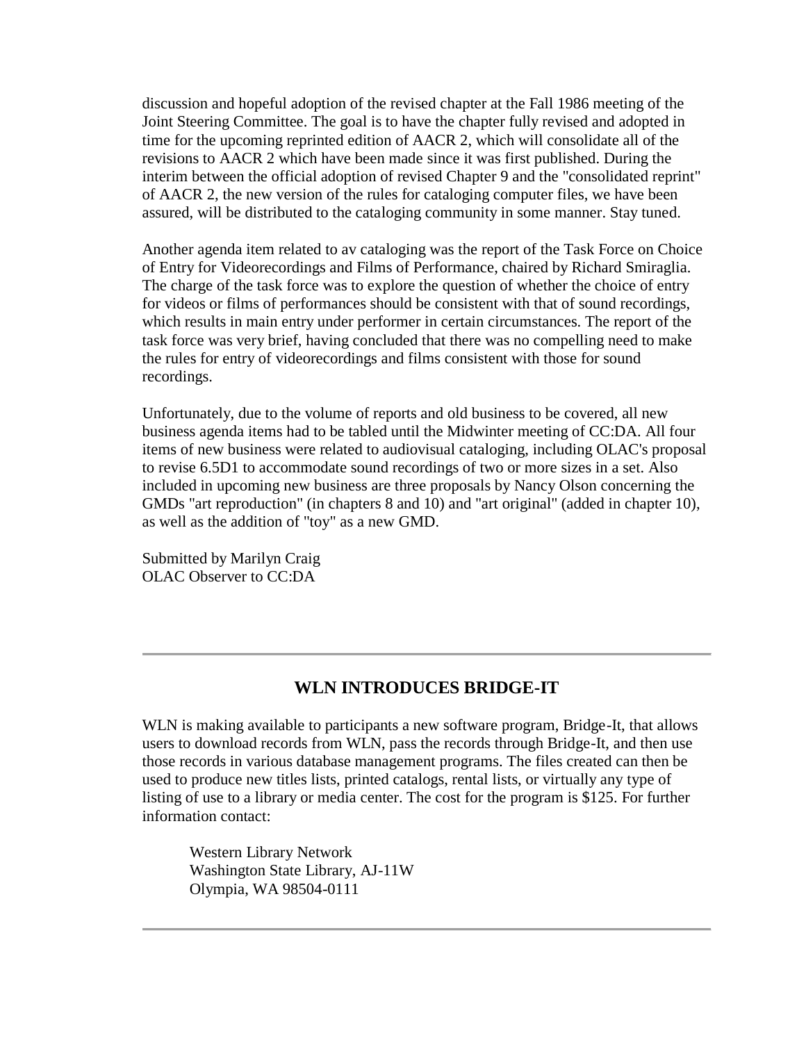discussion and hopeful adoption of the revised chapter at the Fall 1986 meeting of the Joint Steering Committee. The goal is to have the chapter fully revised and adopted in time for the upcoming reprinted edition of AACR 2, which will consolidate all of the revisions to AACR 2 which have been made since it was first published. During the interim between the official adoption of revised Chapter 9 and the "consolidated reprint" of AACR 2, the new version of the rules for cataloging computer files, we have been assured, will be distributed to the cataloging community in some manner. Stay tuned.

Another agenda item related to av cataloging was the report of the Task Force on Choice of Entry for Videorecordings and Films of Performance, chaired by Richard Smiraglia. The charge of the task force was to explore the question of whether the choice of entry for videos or films of performances should be consistent with that of sound recordings, which results in main entry under performer in certain circumstances. The report of the task force was very brief, having concluded that there was no compelling need to make the rules for entry of videorecordings and films consistent with those for sound recordings.

Unfortunately, due to the volume of reports and old business to be covered, all new business agenda items had to be tabled until the Midwinter meeting of CC:DA. All four items of new business were related to audiovisual cataloging, including OLAC's proposal to revise 6.5D1 to accommodate sound recordings of two or more sizes in a set. Also included in upcoming new business are three proposals by Nancy Olson concerning the GMDs "art reproduction" (in chapters 8 and 10) and "art original" (added in chapter 10), as well as the addition of "toy" as a new GMD.

Submitted by Marilyn Craig OLAC Observer to CC:DA

#### **WLN INTRODUCES BRIDGE-IT**

WLN is making available to participants a new software program, Bridge-It, that allows users to download records from WLN, pass the records through Bridge-It, and then use those records in various database management programs. The files created can then be used to produce new titles lists, printed catalogs, rental lists, or virtually any type of listing of use to a library or media center. The cost for the program is \$125. For further information contact:

Western Library Network Washington State Library, AJ-11W Olympia, WA 98504-0111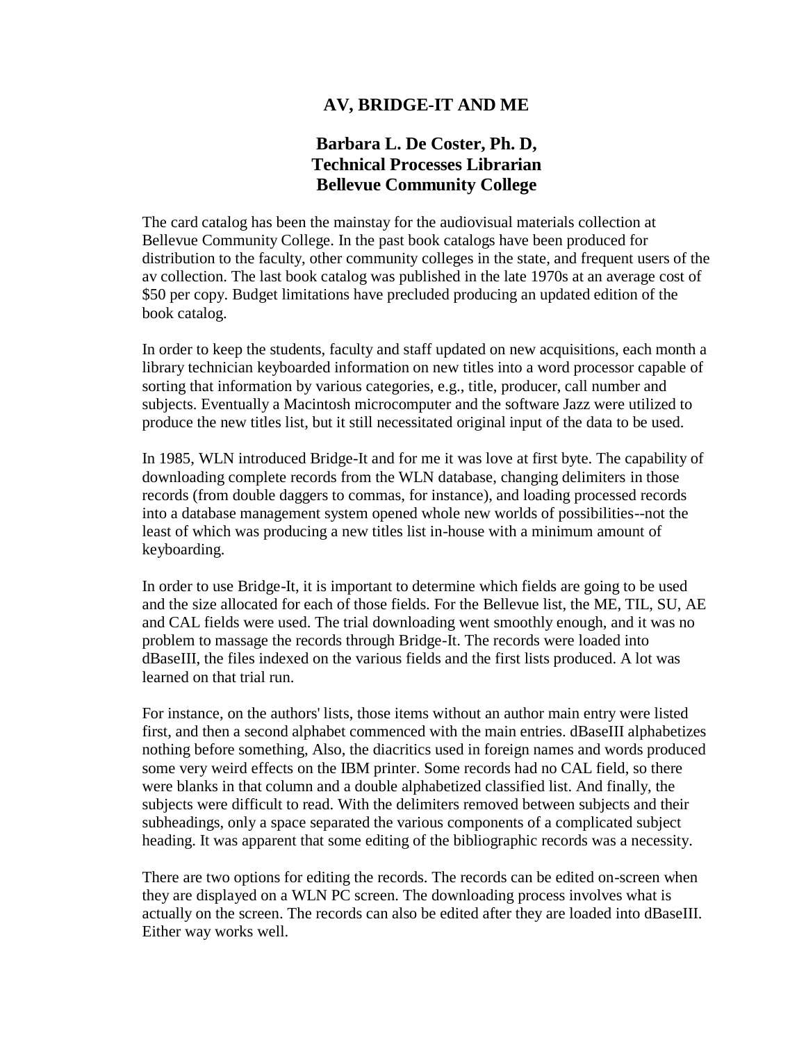#### **AV, BRIDGE-IT AND ME**

### **Barbara L. De Coster, Ph. D, Technical Processes Librarian Bellevue Community College**

The card catalog has been the mainstay for the audiovisual materials collection at Bellevue Community College. In the past book catalogs have been produced for distribution to the faculty, other community colleges in the state, and frequent users of the av collection. The last book catalog was published in the late 1970s at an average cost of \$50 per copy. Budget limitations have precluded producing an updated edition of the book catalog.

In order to keep the students, faculty and staff updated on new acquisitions, each month a library technician keyboarded information on new titles into a word processor capable of sorting that information by various categories, e.g., title, producer, call number and subjects. Eventually a Macintosh microcomputer and the software Jazz were utilized to produce the new titles list, but it still necessitated original input of the data to be used.

In 1985, WLN introduced Bridge-It and for me it was love at first byte. The capability of downloading complete records from the WLN database, changing delimiters in those records (from double daggers to commas, for instance), and loading processed records into a database management system opened whole new worlds of possibilities--not the least of which was producing a new titles list in-house with a minimum amount of keyboarding.

In order to use Bridge-It, it is important to determine which fields are going to be used and the size allocated for each of those fields. For the Bellevue list, the ME, TIL, SU, AE and CAL fields were used. The trial downloading went smoothly enough, and it was no problem to massage the records through Bridge-It. The records were loaded into dBaseIII, the files indexed on the various fields and the first lists produced. A lot was learned on that trial run.

For instance, on the authors' lists, those items without an author main entry were listed first, and then a second alphabet commenced with the main entries. dBaseIII alphabetizes nothing before something, Also, the diacritics used in foreign names and words produced some very weird effects on the IBM printer. Some records had no CAL field, so there were blanks in that column and a double alphabetized classified list. And finally, the subjects were difficult to read. With the delimiters removed between subjects and their subheadings, only a space separated the various components of a complicated subject heading. It was apparent that some editing of the bibliographic records was a necessity.

There are two options for editing the records. The records can be edited on-screen when they are displayed on a WLN PC screen. The downloading process involves what is actually on the screen. The records can also be edited after they are loaded into dBaseIII. Either way works well.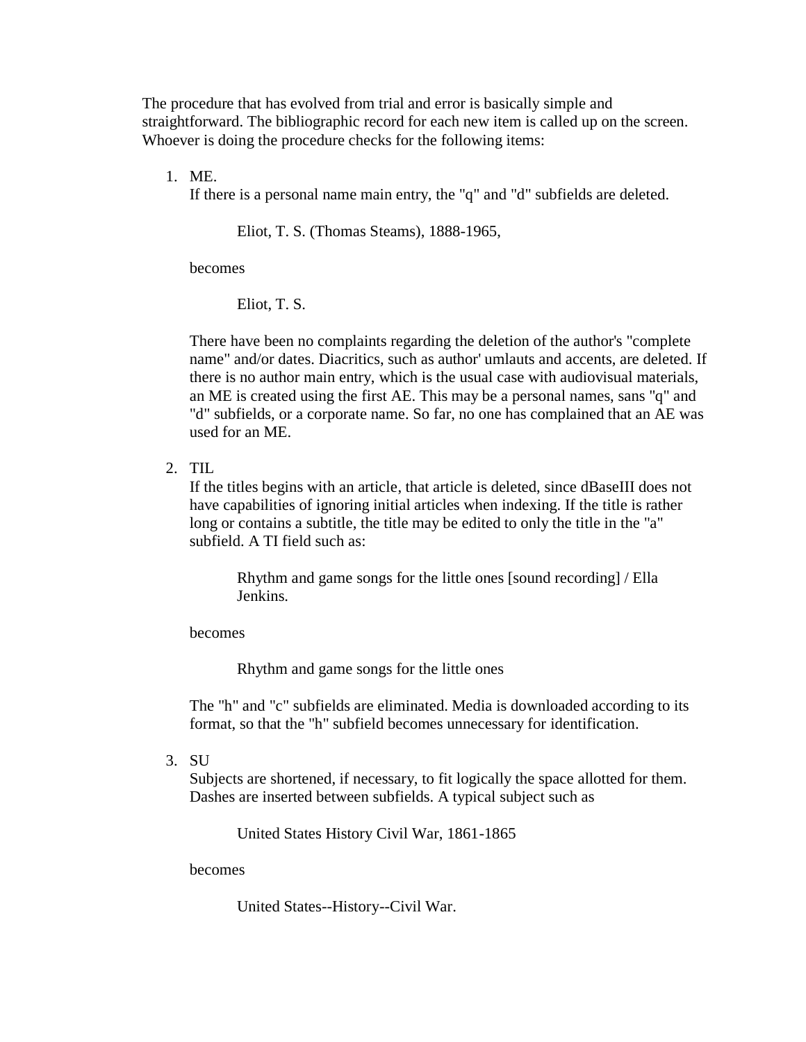The procedure that has evolved from trial and error is basically simple and straightforward. The bibliographic record for each new item is called up on the screen. Whoever is doing the procedure checks for the following items:

1. ME.

If there is a personal name main entry, the "q" and "d" subfields are deleted.

Eliot, T. S. (Thomas Steams), 1888-1965,

becomes

Eliot, T. S.

There have been no complaints regarding the deletion of the author's "complete name" and/or dates. Diacritics, such as author' umlauts and accents, are deleted. If there is no author main entry, which is the usual case with audiovisual materials, an ME is created using the first AE. This may be a personal names, sans "q" and "d" subfields, or a corporate name. So far, no one has complained that an AE was used for an ME.

2. TIL

If the titles begins with an article, that article is deleted, since dBaseIII does not have capabilities of ignoring initial articles when indexing. If the title is rather long or contains a subtitle, the title may be edited to only the title in the "a" subfield. A TI field such as:

Rhythm and game songs for the little ones [sound recording] / Ella Jenkins.

becomes

Rhythm and game songs for the little ones

The "h" and "c" subfields are eliminated. Media is downloaded according to its format, so that the "h" subfield becomes unnecessary for identification.

3. SU

Subjects are shortened, if necessary, to fit logically the space allotted for them. Dashes are inserted between subfields. A typical subject such as

United States History Civil War, 1861-1865

becomes

United States--History--Civil War.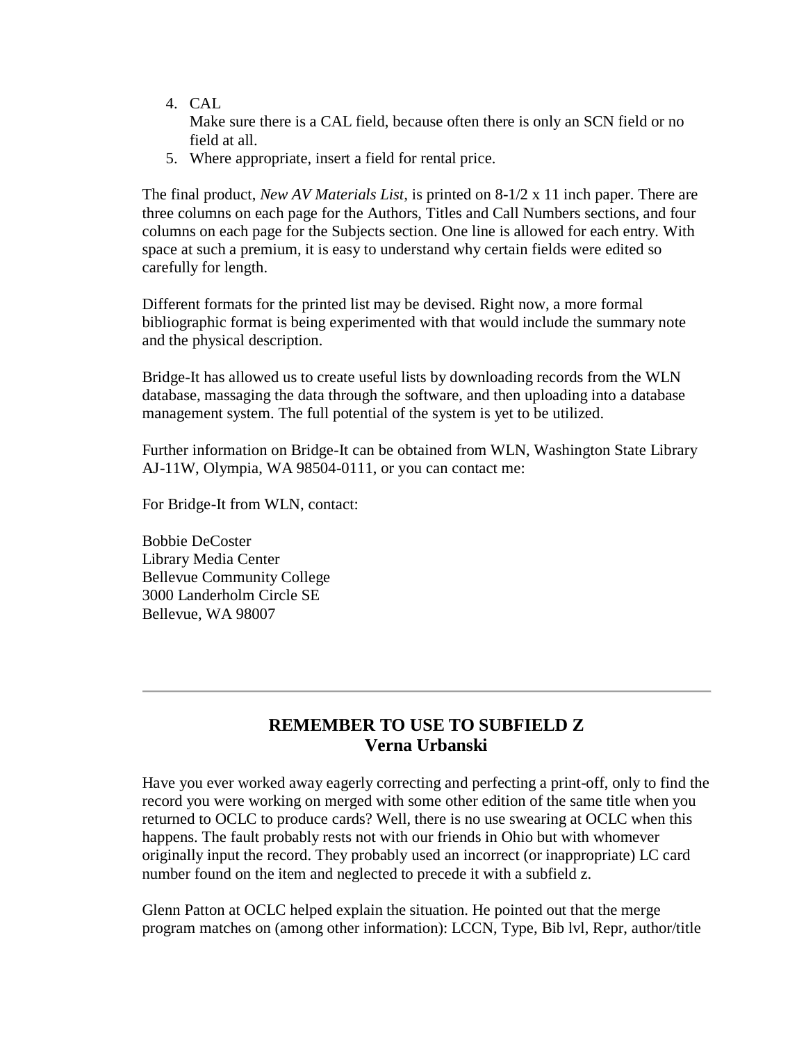- 4. CAL Make sure there is a CAL field, because often there is only an SCN field or no field at all.
- 5. Where appropriate, insert a field for rental price.

The final product, *New AV Materials List,* is printed on 8-1/2 x 11 inch paper. There are three columns on each page for the Authors, Titles and Call Numbers sections, and four columns on each page for the Subjects section. One line is allowed for each entry. With space at such a premium, it is easy to understand why certain fields were edited so carefully for length.

Different formats for the printed list may be devised. Right now, a more formal bibliographic format is being experimented with that would include the summary note and the physical description.

Bridge-It has allowed us to create useful lists by downloading records from the WLN database, massaging the data through the software, and then uploading into a database management system. The full potential of the system is yet to be utilized.

Further information on Bridge-It can be obtained from WLN, Washington State Library AJ-11W, Olympia, WA 98504-0111, or you can contact me:

For Bridge-It from WLN, contact:

Bobbie DeCoster Library Media Center Bellevue Community College 3000 Landerholm Circle SE Bellevue, WA 98007

### **REMEMBER TO USE TO SUBFIELD Z Verna Urbanski**

Have you ever worked away eagerly correcting and perfecting a print-off, only to find the record you were working on merged with some other edition of the same title when you returned to OCLC to produce cards? Well, there is no use swearing at OCLC when this happens. The fault probably rests not with our friends in Ohio but with whomever originally input the record. They probably used an incorrect (or inappropriate) LC card number found on the item and neglected to precede it with a subfield z.

Glenn Patton at OCLC helped explain the situation. He pointed out that the merge program matches on (among other information): LCCN, Type, Bib lvl, Repr, author/title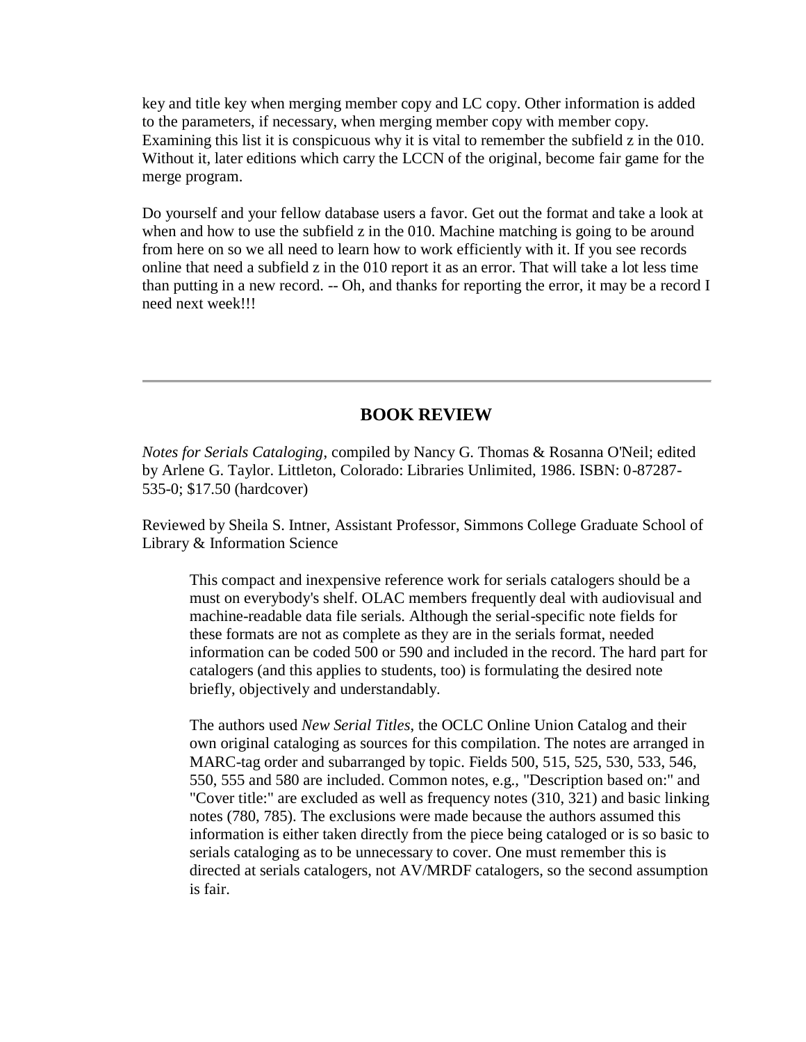key and title key when merging member copy and LC copy. Other information is added to the parameters, if necessary, when merging member copy with member copy. Examining this list it is conspicuous why it is vital to remember the subfield z in the 010. Without it, later editions which carry the LCCN of the original, become fair game for the merge program.

Do yourself and your fellow database users a favor. Get out the format and take a look at when and how to use the subfield z in the 010. Machine matching is going to be around from here on so we all need to learn how to work efficiently with it. If you see records online that need a subfield z in the 010 report it as an error. That will take a lot less time than putting in a new record. -- Oh, and thanks for reporting the error, it may be a record I need next week!!!

#### **BOOK REVIEW**

*Notes for Serials Cataloging*, compiled by Nancy G. Thomas & Rosanna O'Neil; edited by Arlene G. Taylor. Littleton, Colorado: Libraries Unlimited, 1986. ISBN: 0-87287- 535-0; \$17.50 (hardcover)

Reviewed by Sheila S. Intner, Assistant Professor, Simmons College Graduate School of Library & Information Science

This compact and inexpensive reference work for serials catalogers should be a must on everybody's shelf. OLAC members frequently deal with audiovisual and machine-readable data file serials. Although the serial-specific note fields for these formats are not as complete as they are in the serials format, needed information can be coded 500 or 590 and included in the record. The hard part for catalogers (and this applies to students, too) is formulating the desired note briefly, objectively and understandably.

The authors used *New Serial Titles*, the OCLC Online Union Catalog and their own original cataloging as sources for this compilation. The notes are arranged in MARC-tag order and subarranged by topic. Fields 500, 515, 525, 530, 533, 546, 550, 555 and 580 are included. Common notes, e.g., "Description based on:" and "Cover title:" are excluded as well as frequency notes (310, 321) and basic linking notes (780, 785). The exclusions were made because the authors assumed this information is either taken directly from the piece being cataloged or is so basic to serials cataloging as to be unnecessary to cover. One must remember this is directed at serials catalogers, not AV/MRDF catalogers, so the second assumption is fair.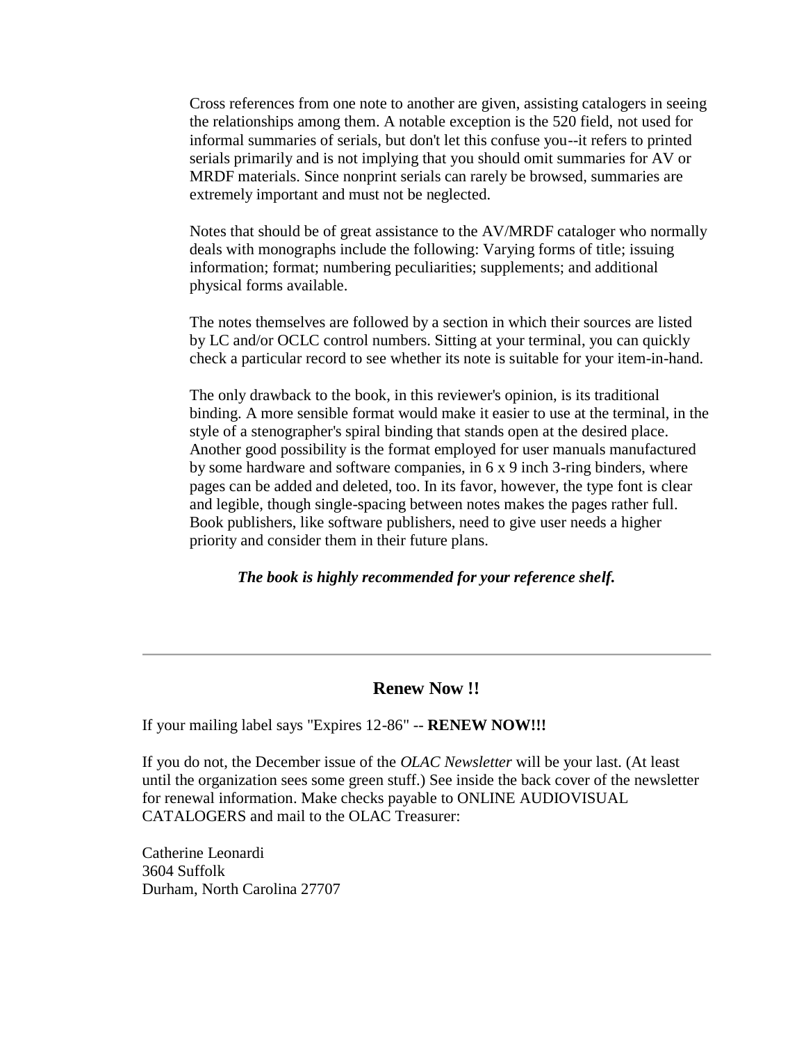Cross references from one note to another are given, assisting catalogers in seeing the relationships among them. A notable exception is the 520 field, not used for informal summaries of serials, but don't let this confuse you--it refers to printed serials primarily and is not implying that you should omit summaries for AV or MRDF materials. Since nonprint serials can rarely be browsed, summaries are extremely important and must not be neglected.

Notes that should be of great assistance to the AV/MRDF cataloger who normally deals with monographs include the following: Varying forms of title; issuing information; format; numbering peculiarities; supplements; and additional physical forms available.

The notes themselves are followed by a section in which their sources are listed by LC and/or OCLC control numbers. Sitting at your terminal, you can quickly check a particular record to see whether its note is suitable for your item-in-hand.

The only drawback to the book, in this reviewer's opinion, is its traditional binding. A more sensible format would make it easier to use at the terminal, in the style of a stenographer's spiral binding that stands open at the desired place. Another good possibility is the format employed for user manuals manufactured by some hardware and software companies, in 6 x 9 inch 3-ring binders, where pages can be added and deleted, too. In its favor, however, the type font is clear and legible, though single-spacing between notes makes the pages rather full. Book publishers, like software publishers, need to give user needs a higher priority and consider them in their future plans.

#### *The book is highly recommended for your reference shelf.*

#### **Renew Now !!**

If your mailing label says "Expires 12-86" -- **RENEW NOW!!!**

If you do not, the December issue of the *OLAC Newsletter* will be your last. (At least until the organization sees some green stuff.) See inside the back cover of the newsletter for [renewal information.](http://ublib.buffalo.edu/libraries/units/cts/olac/newsletters/dec86.html#form) Make checks payable to ONLINE AUDIOVISUAL CATALOGERS and mail to the OLAC Treasurer:

Catherine Leonardi 3604 Suffolk Durham, North Carolina 27707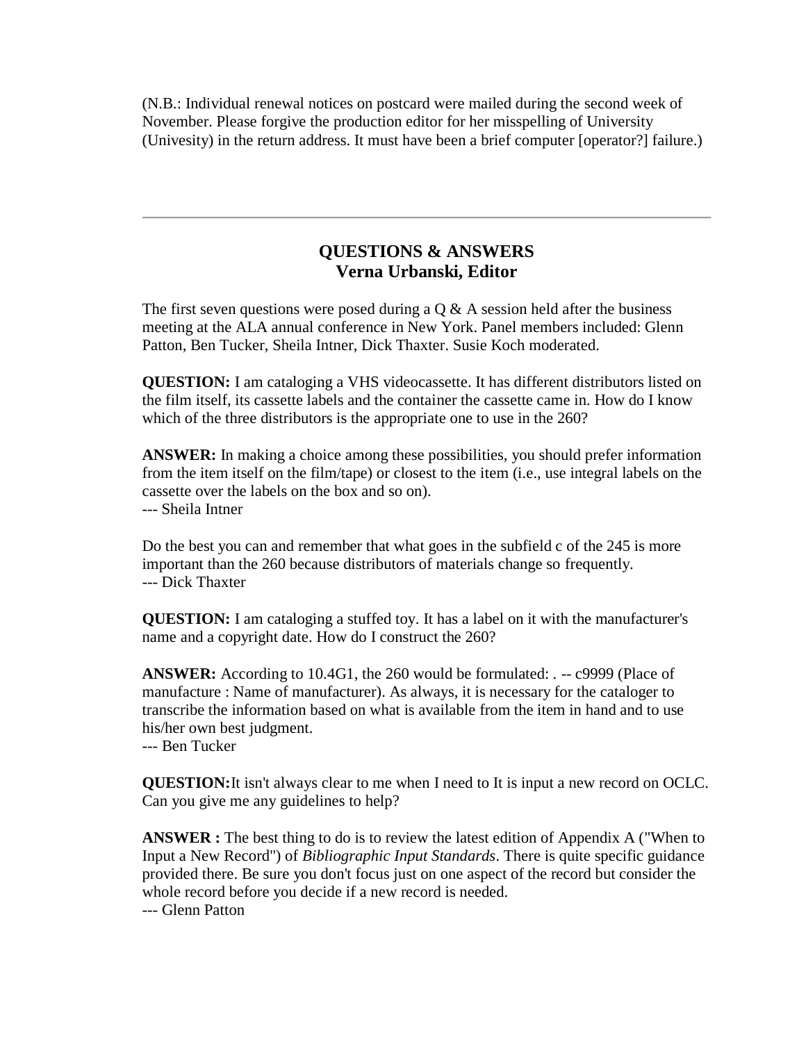(N.B.: Individual renewal notices on postcard were mailed during the second week of November. Please forgive the production editor for her misspelling of University (Univesity) in the return address. It must have been a brief computer [operator?] failure.)

### **QUESTIONS & ANSWERS Verna Urbanski, Editor**

The first seven questions were posed during a  $\overline{Q} \& A$  session held after the business meeting at the ALA annual conference in New York. Panel members included: Glenn Patton, Ben Tucker, Sheila Intner, Dick Thaxter. Susie Koch moderated.

**QUESTION:** I am cataloging a VHS videocassette. It has different distributors listed on the film itself, its cassette labels and the container the cassette came in. How do I know which of the three distributors is the appropriate one to use in the 260?

**ANSWER:** In making a choice among these possibilities, you should prefer information from the item itself on the film/tape) or closest to the item (i.e., use integral labels on the cassette over the labels on the box and so on). --- Sheila Intner

Do the best you can and remember that what goes in the subfield c of the 245 is more important than the 260 because distributors of materials change so frequently. --- Dick Thaxter

**QUESTION:** I am cataloging a stuffed toy. It has a label on it with the manufacturer's name and a copyright date. How do I construct the 260?

**ANSWER:** According to 10.4G1, the 260 would be formulated: . -- c9999 (Place of manufacture : Name of manufacturer). As always, it is necessary for the cataloger to transcribe the information based on what is available from the item in hand and to use his/her own best judgment.

--- Ben Tucker

**QUESTION:**It isn't always clear to me when I need to It is input a new record on OCLC. Can you give me any guidelines to help?

**ANSWER :** The best thing to do is to review the latest edition of Appendix A ("When to Input a New Record") of *Bibliographic Input Standards*. There is quite specific guidance provided there. Be sure you don't focus just on one aspect of the record but consider the whole record before you decide if a new record is needed.

--- Glenn Patton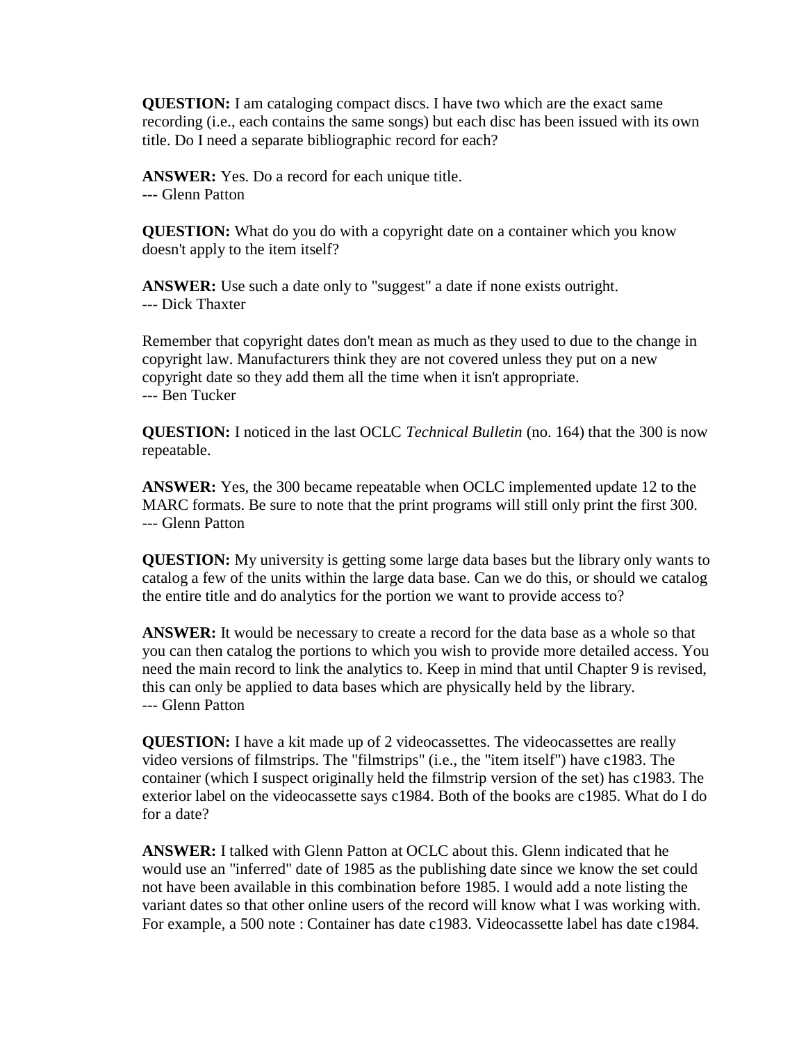**QUESTION:** I am cataloging compact discs. I have two which are the exact same recording (i.e., each contains the same songs) but each disc has been issued with its own title. Do I need a separate bibliographic record for each?

**ANSWER:** Yes. Do a record for each unique title. --- Glenn Patton

**QUESTION:** What do you do with a copyright date on a container which you know doesn't apply to the item itself?

**ANSWER:** Use such a date only to "suggest" a date if none exists outright. --- Dick Thaxter

Remember that copyright dates don't mean as much as they used to due to the change in copyright law. Manufacturers think they are not covered unless they put on a new copyright date so they add them all the time when it isn't appropriate. --- Ben Tucker

**QUESTION:** I noticed in the last OCLC *Technical Bulletin* (no. 164) that the 300 is now repeatable.

**ANSWER:** Yes, the 300 became repeatable when OCLC implemented update 12 to the MARC formats. Be sure to note that the print programs will still only print the first 300. --- Glenn Patton

**QUESTION:** My university is getting some large data bases but the library only wants to catalog a few of the units within the large data base. Can we do this, or should we catalog the entire title and do analytics for the portion we want to provide access to?

**ANSWER:** It would be necessary to create a record for the data base as a whole so that you can then catalog the portions to which you wish to provide more detailed access. You need the main record to link the analytics to. Keep in mind that until Chapter 9 is revised, this can only be applied to data bases which are physically held by the library. --- Glenn Patton

**QUESTION:** I have a kit made up of 2 videocassettes. The videocassettes are really video versions of filmstrips. The "filmstrips" (i.e., the "item itself") have c1983. The container (which I suspect originally held the filmstrip version of the set) has c1983. The exterior label on the videocassette says c1984. Both of the books are c1985. What do I do for a date?

**ANSWER:** I talked with Glenn Patton at OCLC about this. Glenn indicated that he would use an "inferred" date of 1985 as the publishing date since we know the set could not have been available in this combination before 1985. I would add a note listing the variant dates so that other online users of the record will know what I was working with. For example, a 500 note : Container has date c1983. Videocassette label has date c1984.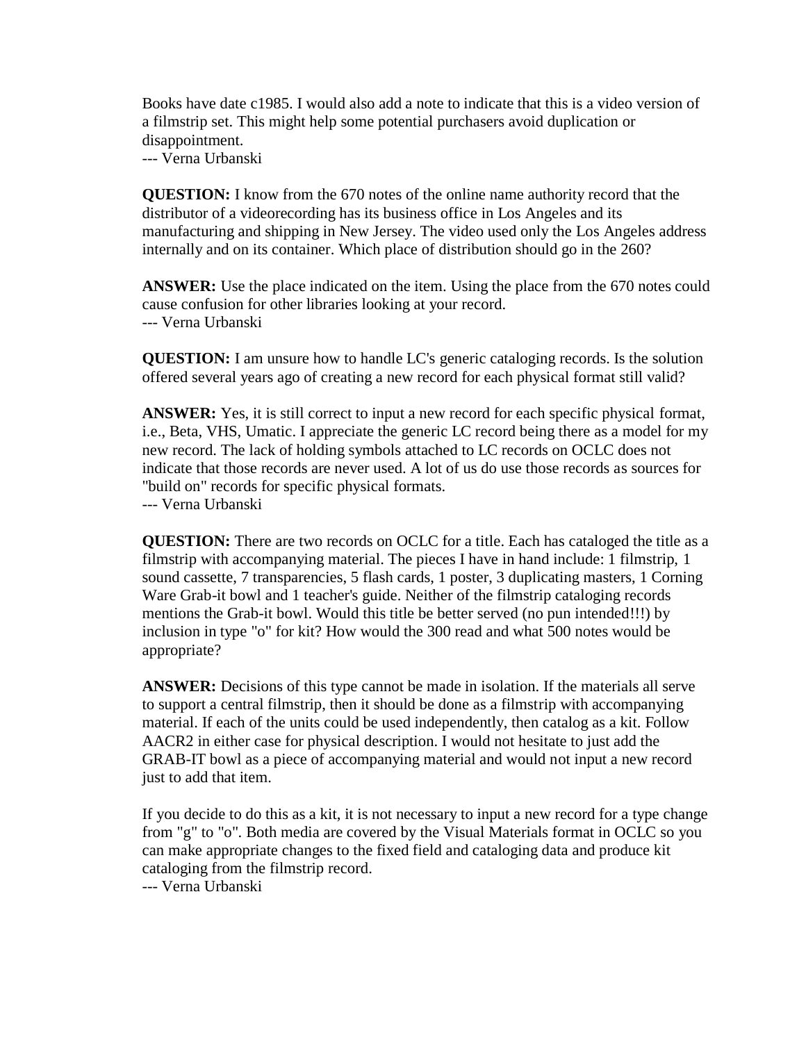Books have date c1985. I would also add a note to indicate that this is a video version of a filmstrip set. This might help some potential purchasers avoid duplication or disappointment.

--- Verna Urbanski

**QUESTION:** I know from the 670 notes of the online name authority record that the distributor of a videorecording has its business office in Los Angeles and its manufacturing and shipping in New Jersey. The video used only the Los Angeles address internally and on its container. Which place of distribution should go in the 260?

**ANSWER:** Use the place indicated on the item. Using the place from the 670 notes could cause confusion for other libraries looking at your record. --- Verna Urbanski

**QUESTION:** I am unsure how to handle LC's generic cataloging records. Is the solution offered several years ago of creating a new record for each physical format still valid?

**ANSWER:** Yes, it is still correct to input a new record for each specific physical format, i.e., Beta, VHS, Umatic. I appreciate the generic LC record being there as a model for my new record. The lack of holding symbols attached to LC records on OCLC does not indicate that those records are never used. A lot of us do use those records as sources for "build on" records for specific physical formats.

--- Verna Urbanski

**QUESTION:** There are two records on OCLC for a title. Each has cataloged the title as a filmstrip with accompanying material. The pieces I have in hand include: 1 filmstrip, 1 sound cassette, 7 transparencies, 5 flash cards, 1 poster, 3 duplicating masters, 1 Corning Ware Grab-it bowl and 1 teacher's guide. Neither of the filmstrip cataloging records mentions the Grab-it bowl. Would this title be better served (no pun intended!!!) by inclusion in type "o" for kit? How would the 300 read and what 500 notes would be appropriate?

**ANSWER:** Decisions of this type cannot be made in isolation. If the materials all serve to support a central filmstrip, then it should be done as a filmstrip with accompanying material. If each of the units could be used independently, then catalog as a kit. Follow AACR2 in either case for physical description. I would not hesitate to just add the GRAB-IT bowl as a piece of accompanying material and would not input a new record just to add that item.

If you decide to do this as a kit, it is not necessary to input a new record for a type change from "g" to "o". Both media are covered by the Visual Materials format in OCLC so you can make appropriate changes to the fixed field and cataloging data and produce kit cataloging from the filmstrip record.

--- Verna Urbanski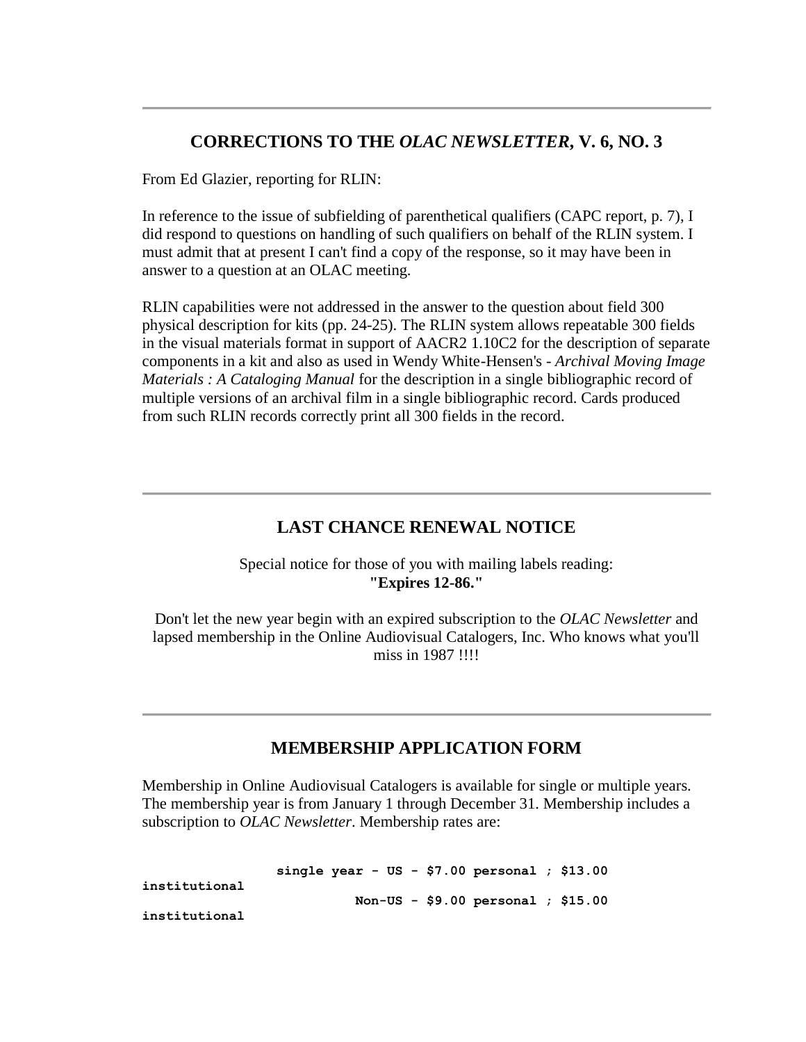#### **CORRECTIONS TO THE** *OLAC NEWSLETTER***, V. 6, NO. 3**

From Ed Glazier, reporting for RLIN:

In reference to the issue of subfielding of parenthetical qualifiers [\(CAPC report, p. 7\)](http://ublib.buffalo.edu/libraries/units/cts/olac/newsletters/sept86.html#capc), I did respond to questions on handling of such qualifiers on behalf of the RLIN system. I must admit that at present I can't find a copy of the response, so it may have been in answer to a question at an OLAC meeting.

RLIN capabilities were not addressed in the answer to the question about field 300 physical description for kits [\(pp. 24-25\)](http://ublib.buffalo.edu/libraries/units/cts/olac/newsletters/sept86.html#p24_25). The RLIN system allows repeatable 300 fields in the visual materials format in support of AACR2 1.10C2 for the description of separate components in a kit and also as used in Wendy White-Hensen's - *Archival Moving Image Materials : A Cataloging Manual* for the description in a single bibliographic record of multiple versions of an archival film in a single bibliographic record. Cards produced from such RLIN records correctly print all 300 fields in the record.

# **LAST CHANCE RENEWAL NOTICE**

Special notice for those of you with mailing labels reading: **"Expires 12-86."**

Don't let the new year begin with an expired subscription to the *OLAC Newsletter* and lapsed membership in the Online Audiovisual Catalogers, Inc. Who knows what you'll miss in 1987 !!!!

### **MEMBERSHIP APPLICATION FORM**

Membership in Online Audiovisual Catalogers is available for single or multiple years. The membership year is from January 1 through December 31. Membership includes a subscription to *OLAC Newsletter*. Membership rates are:

|               | single year - US - \$7.00 personal ; \$13.00 |  |
|---------------|----------------------------------------------|--|
| institutional |                                              |  |
|               | Non-US - \$9.00 personal ; $$15.00$          |  |
| institutional |                                              |  |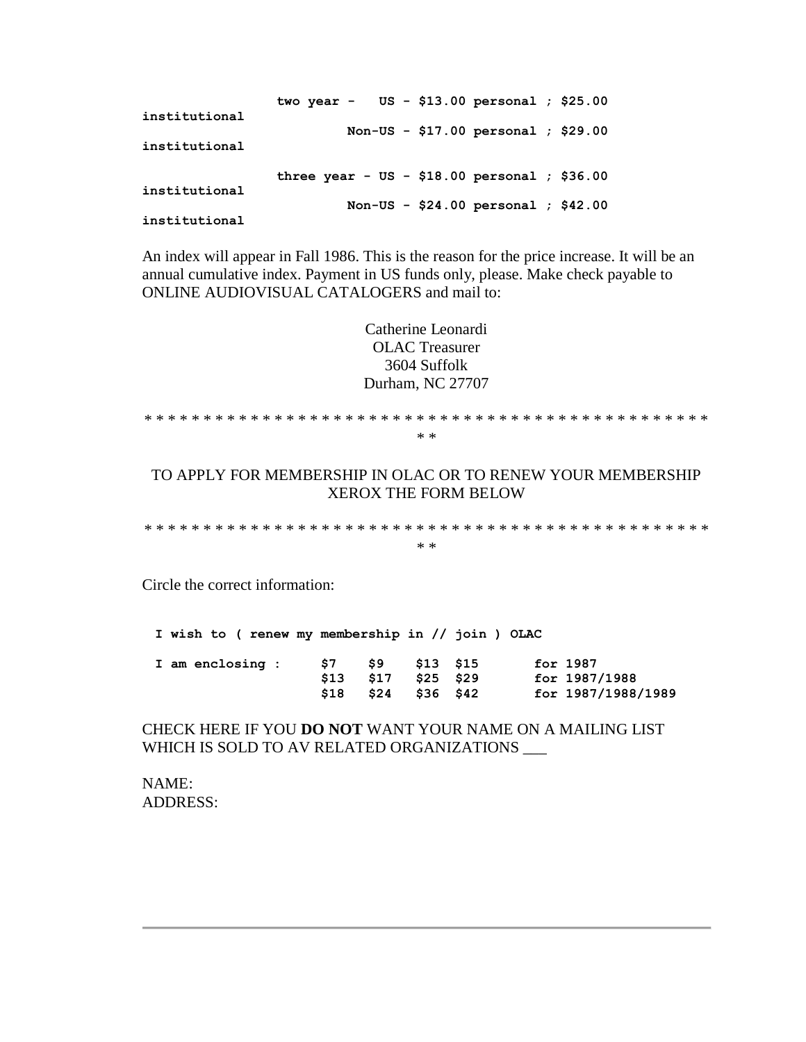|               | two year - $US - $13.00$ personal; $$25.00$   |
|---------------|-----------------------------------------------|
| institutional | Non-US - $$17.00$ personal ; $$29.00$         |
| institutional |                                               |
|               | three year - $US - $18.00$ personal; $$36.00$ |
| institutional | Non-US - $$24.00$ personal ; $$42.00$         |
| institutional |                                               |

An index will appear in Fall 1986. This is the reason for the price increase. It will be an annual cumulative index. Payment in US funds only, please. Make check payable to ONLINE AUDIOVISUAL CATALOGERS and mail to:

> Catherine Leonardi OLAC Treasurer 3604 Suffolk Durham, NC 27707

\* \* \* \* \* \* \* \* \* \* \* \* \* \* \* \* \* \* \* \* \* \* \* \* \* \* \* \* \* \* \* \* \* \* \* \* \* \* \* \* \* \* \* \* \* \* \* \* \* \*

TO APPLY FOR MEMBERSHIP IN OLAC OR TO RENEW YOUR MEMBERSHIP XEROX THE FORM BELOW

\* \* \* \* \* \* \* \* \* \* \* \* \* \* \* \* \* \* \* \* \* \* \* \* \* \* \* \* \* \* \* \* \* \* \* \* \* \* \* \* \* \* \* \* \* \* \* \* \* \*

Circle the correct information:

**I wish to ( renew my membership in // join ) OLAC**

|  | I am enclosing : | S7 .                | \$9 \$13 \$15       |  | for 1987           |
|--|------------------|---------------------|---------------------|--|--------------------|
|  |                  |                     | \$13 \$17 \$25 \$29 |  | for 1987/1988      |
|  |                  | \$18 \$24 \$36 \$42 |                     |  | for 1987/1988/1989 |

CHECK HERE IF YOU **DO NOT** WANT YOUR NAME ON A MAILING LIST WHICH IS SOLD TO AV RELATED ORGANIZATIONS \_\_\_

NAME: ADDRESS: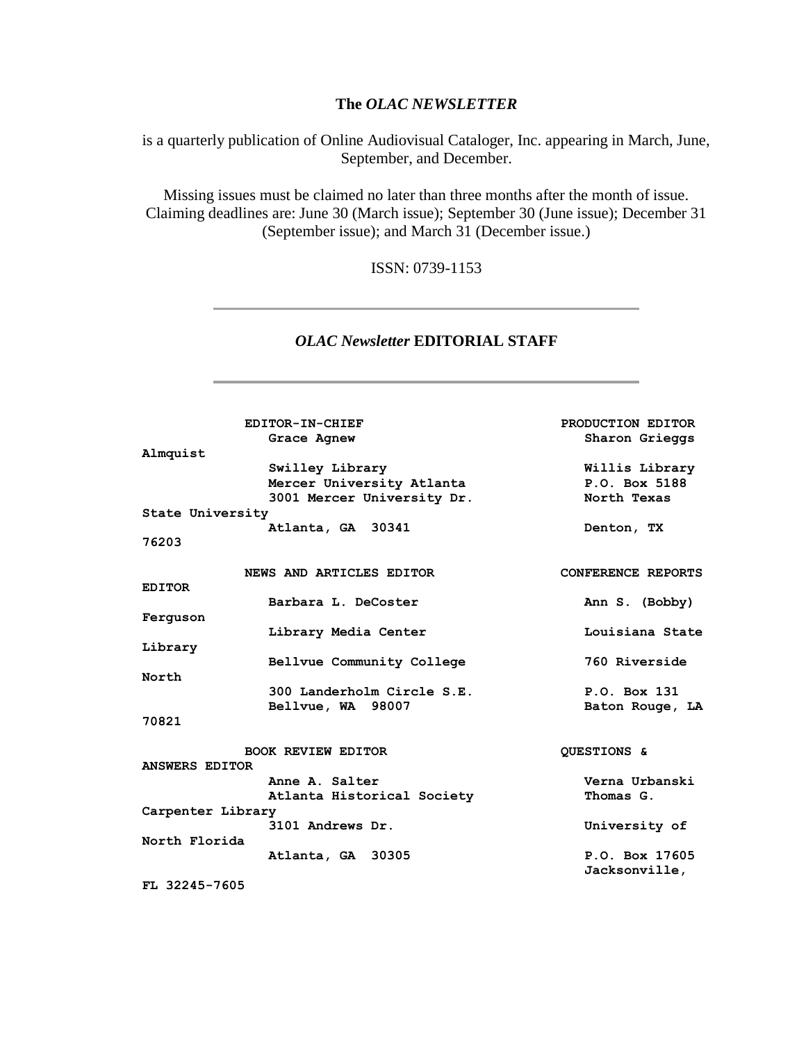#### **The** *OLAC NEWSLETTER*

is a quarterly publication of Online Audiovisual Cataloger, Inc. appearing in March, June, September, and December.

Missing issues must be claimed no later than three months after the month of issue. Claiming deadlines are: June 30 (March issue); September 30 (June issue); December 31 (September issue); and March 31 (December issue.)

ISSN: 0739-1153

#### *OLAC Newsletter* **EDITORIAL STAFF**

|                   | EDITOR-IN-CHIEF            | PRODUCTION EDITOR  |
|-------------------|----------------------------|--------------------|
|                   | Grace Agnew                | Sharon Grieggs     |
| Almquist          |                            |                    |
|                   | Swilley Library            | Willis Library     |
|                   | Mercer University Atlanta  | P.O. Box 5188      |
|                   | 3001 Mercer University Dr. | North Texas        |
| State University  |                            |                    |
|                   | Atlanta, GA 30341          | Denton, TX         |
| 76203             |                            |                    |
|                   | NEWS AND ARTICLES EDITOR   | CONFERENCE REPORTS |
| <b>EDITOR</b>     |                            |                    |
|                   | Barbara L. DeCoster        | Ann S. (Bobby)     |
| Ferguson          |                            |                    |
|                   | Library Media Center       | Louisiana State    |
| Library           |                            |                    |
|                   | Bellvue Community College  | 760 Riverside      |
| North             |                            |                    |
|                   | 300 Landerholm Circle S.E. | P.O. Box 131       |
|                   | Bellvue, WA 98007          | Baton Rouge, LA    |
| 70821             |                            |                    |
|                   | <b>BOOK REVIEW EDITOR</b>  | QUESTIONS &        |
| ANSWERS EDITOR    |                            |                    |
|                   | Anne A. Salter             | Verna Urbanski     |
|                   | Atlanta Historical Society | Thomas G.          |
| Carpenter Library |                            |                    |
|                   | 3101 Andrews Dr.           | University of      |
| North Florida     |                            |                    |
|                   | Atlanta, GA 30305          | P.O. Box 17605     |
|                   |                            | Jacksonville,      |
| . <i></i>         |                            |                    |

**FL 32245-7605**